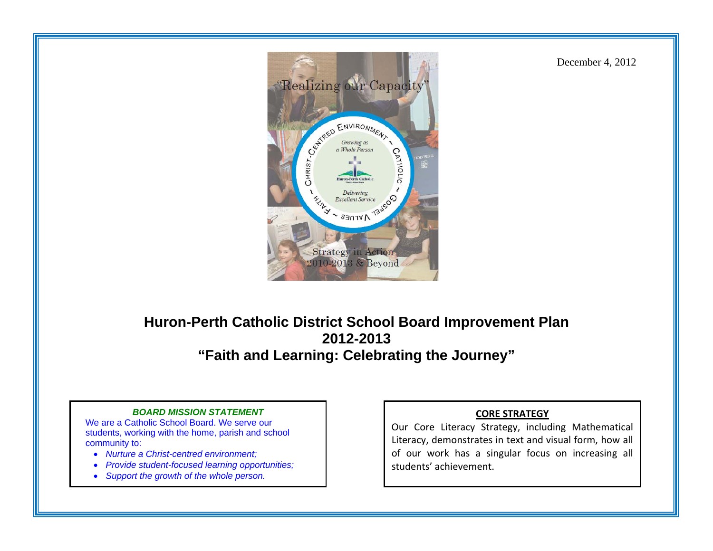

**Huron-Perth Catholic District School Board Improvement Plan 2012-2013 "Faith and Learning: Celebrating the Journey"** 

# *BOARD MISSION STATEMENT*

We are a Catholic School Board. We serve our students, working with the home, parish and school community to:

- *Nurture a Christ-centred environment;*
- 0 *Provide student-focused learning opportunities;*
- *Support the growth of the whole person.*

## **CORE STRATEGY**

Our Core Literacy Strategy, including Mathematical Literacy, demonstrates in text and visual form, how all of our work has <sup>a</sup> singular focus on increasing all students' achievement.

December 4, 2012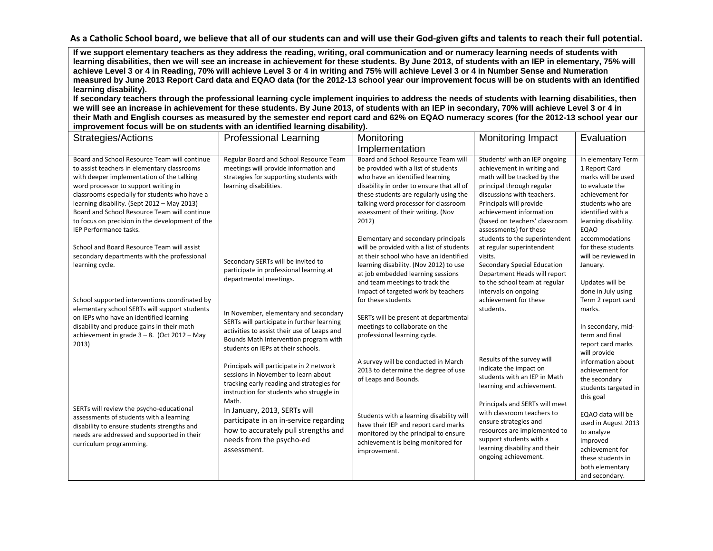**If we support elementary teachers as they address the reading, writing, oral communication and or numeracy learning needs of students with learning disabilities, then we will see an increase in achievement for these students. By June 2013, of students with an IEP in elementary, 75% will achieve Level 3 or 4 in Reading, 70% will achieve Level 3 or 4 in writing and 75% will achieve Level 3 or 4 in Number Sense and Numeration measured by June 2013 Report Card data and EQAO data (for the 2012-13 school year our improvement focus will be on students with an identified learning disability).** 

**If secondary teachers through the professional learning cycle implement inquiries to address the needs of students with learning disabilities, then we will see an increase in achievement for these students. By June 2013, of students with an IEP in secondary, 70% will achieve Level 3 or 4 in their Math and English courses as measured by the semester end report card and 62% on EQAO numeracy scores (for the 2012-13 school year our improvement focus will be on students with an identified learning disability).**

| Strategies/Actions                                                                                                                                                                                                                                                                                                                                                                                            | <b>Professional Learning</b>                                                                                                                                                                                      | Monitoring                                                                                                                                                                                                                                                                                              | <b>Monitoring Impact</b>                                                                                                                                                                                                                                               | Evaluation                                                                                                                                                               |
|---------------------------------------------------------------------------------------------------------------------------------------------------------------------------------------------------------------------------------------------------------------------------------------------------------------------------------------------------------------------------------------------------------------|-------------------------------------------------------------------------------------------------------------------------------------------------------------------------------------------------------------------|---------------------------------------------------------------------------------------------------------------------------------------------------------------------------------------------------------------------------------------------------------------------------------------------------------|------------------------------------------------------------------------------------------------------------------------------------------------------------------------------------------------------------------------------------------------------------------------|--------------------------------------------------------------------------------------------------------------------------------------------------------------------------|
|                                                                                                                                                                                                                                                                                                                                                                                                               |                                                                                                                                                                                                                   | Implementation                                                                                                                                                                                                                                                                                          |                                                                                                                                                                                                                                                                        |                                                                                                                                                                          |
| Board and School Resource Team will continue<br>to assist teachers in elementary classrooms<br>with deeper implementation of the talking<br>word processor to support writing in<br>classrooms especially for students who have a<br>learning disability. (Sept 2012 - May 2013)<br>Board and School Resource Team will continue<br>to focus on precision in the development of the<br>IEP Performance tasks. | Regular Board and School Resource Team<br>meetings will provide information and<br>strategies for supporting students with<br>learning disabilities.                                                              | Board and School Resource Team will<br>be provided with a list of students<br>who have an identified learning<br>disability in order to ensure that all of<br>these students are regularly using the<br>talking word processor for classroom<br>assessment of their writing. (Nov<br>2012)              | Students' with an IEP ongoing<br>achievement in writing and<br>math will be tracked by the<br>principal through regular<br>discussions with teachers.<br>Principals will provide<br>achievement information<br>(based on teachers' classroom<br>assessments) for these | In elementary Term<br>1 Report Card<br>marks will be used<br>to evaluate the<br>achievement for<br>students who are<br>identified with a<br>learning disability.<br>EQAO |
| School and Board Resource Team will assist<br>secondary departments with the professional<br>learning cycle.<br>School supported interventions coordinated by                                                                                                                                                                                                                                                 | Secondary SERTs will be invited to<br>participate in professional learning at<br>departmental meetings.                                                                                                           | Elementary and secondary principals<br>will be provided with a list of students<br>at their school who have an identified<br>learning disability. (Nov 2012) to use<br>at job embedded learning sessions<br>and team meetings to track the<br>impact of targeted work by teachers<br>for these students | students to the superintendent<br>at regular superintendent<br>visits.<br>Secondary Special Education<br>Department Heads will report<br>to the school team at regular<br>intervals on ongoing<br>achievement for these                                                | accommodations<br>for these students<br>will be reviewed in<br>January.<br>Updates will be<br>done in July using<br>Term 2 report card                                   |
| elementary school SERTs will support students<br>on IEPs who have an identified learning<br>disability and produce gains in their math<br>achievement in grade $3 - 8$ . (Oct 2012 - May<br>2013)                                                                                                                                                                                                             | In November, elementary and secondary<br>SERTs will participate in further learning<br>activities to assist their use of Leaps and<br>Bounds Math Intervention program with<br>students on IEPs at their schools. | SERTs will be present at departmental<br>meetings to collaborate on the<br>professional learning cycle.                                                                                                                                                                                                 | students.                                                                                                                                                                                                                                                              | marks.<br>In secondary, mid-<br>term and final<br>report card marks<br>will provide                                                                                      |
|                                                                                                                                                                                                                                                                                                                                                                                                               | Principals will participate in 2 network<br>sessions in November to learn about<br>tracking early reading and strategies for<br>instruction for students who struggle in<br>Math.                                 | A survey will be conducted in March<br>2013 to determine the degree of use<br>of Leaps and Bounds.                                                                                                                                                                                                      | Results of the survey will<br>indicate the impact on<br>students with an IEP in Math<br>learning and achievement.<br>Principals and SERTs will meet                                                                                                                    | information about<br>achievement for<br>the secondary<br>students targeted in<br>this goal                                                                               |
| SERTs will review the psycho-educational<br>assessments of students with a learning<br>disability to ensure students strengths and<br>needs are addressed and supported in their<br>curriculum programming.                                                                                                                                                                                                   | In January, 2013, SERTs will<br>participate in an in-service regarding<br>how to accurately pull strengths and<br>needs from the psycho-ed<br>assessment.                                                         | Students with a learning disability will<br>have their IEP and report card marks<br>monitored by the principal to ensure<br>achievement is being monitored for<br>improvement.                                                                                                                          | with classroom teachers to<br>ensure strategies and<br>resources are implemented to<br>support students with a<br>learning disability and their<br>ongoing achievement.                                                                                                | EQAO data will be<br>used in August 2013<br>to analyze<br>improved<br>achievement for<br>these students in<br>both elementary<br>and secondary.                          |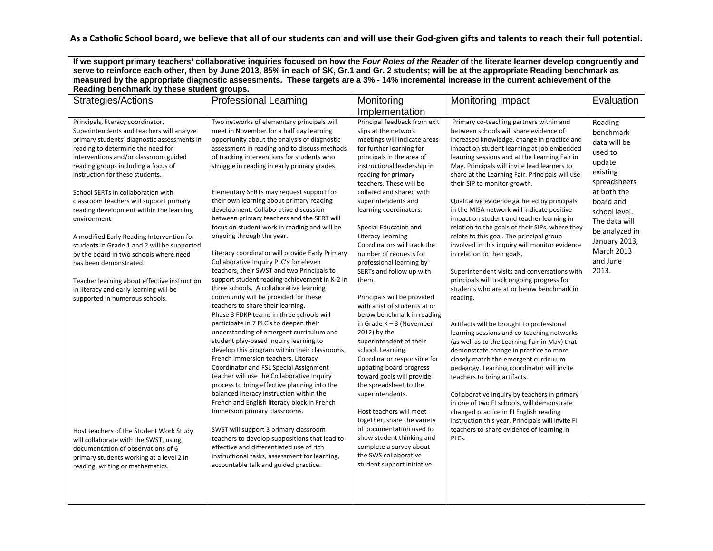**If we support primary teachers' collaborative inquiries focused on how the** *Four Roles of the Reader* **of the literate learner develop congruently and serve to reinforce each other, then by June 2013, 85% in each of SK, Gr.1 and Gr. 2 students; will be at the appropriate Reading benchmark as measured by the appropriate diagnostic assessments. These targets are a 3% - 14% incremental increase in the current achievement of the Reading benchmark by these student groups.** 

| <b>Hodding Bonomman by those stadent groups.</b>                                                                                                                                                                                                                                      |                                                                                                                                                                                                                                                                                                                                                                                                                                                                                                                                                                                                                                                                                                               |                                                                                                                                                                                                                                                                                                                                                                                                                             |                                                                                                                                                                                                                                                                                                                                                                                                                                                                                                                                                                                                                                                              |                                                                                       |
|---------------------------------------------------------------------------------------------------------------------------------------------------------------------------------------------------------------------------------------------------------------------------------------|---------------------------------------------------------------------------------------------------------------------------------------------------------------------------------------------------------------------------------------------------------------------------------------------------------------------------------------------------------------------------------------------------------------------------------------------------------------------------------------------------------------------------------------------------------------------------------------------------------------------------------------------------------------------------------------------------------------|-----------------------------------------------------------------------------------------------------------------------------------------------------------------------------------------------------------------------------------------------------------------------------------------------------------------------------------------------------------------------------------------------------------------------------|--------------------------------------------------------------------------------------------------------------------------------------------------------------------------------------------------------------------------------------------------------------------------------------------------------------------------------------------------------------------------------------------------------------------------------------------------------------------------------------------------------------------------------------------------------------------------------------------------------------------------------------------------------------|---------------------------------------------------------------------------------------|
| Strategies/Actions                                                                                                                                                                                                                                                                    | <b>Professional Learning</b>                                                                                                                                                                                                                                                                                                                                                                                                                                                                                                                                                                                                                                                                                  | Monitoring                                                                                                                                                                                                                                                                                                                                                                                                                  | Monitoring Impact                                                                                                                                                                                                                                                                                                                                                                                                                                                                                                                                                                                                                                            | Evaluation                                                                            |
|                                                                                                                                                                                                                                                                                       |                                                                                                                                                                                                                                                                                                                                                                                                                                                                                                                                                                                                                                                                                                               | Implementation                                                                                                                                                                                                                                                                                                                                                                                                              |                                                                                                                                                                                                                                                                                                                                                                                                                                                                                                                                                                                                                                                              |                                                                                       |
| Principals, literacy coordinator,<br>Superintendents and teachers will analyze<br>primary students' diagnostic assessments in<br>reading to determine the need for<br>interventions and/or classroom guided<br>reading groups including a focus of<br>instruction for these students. | Two networks of elementary principals will<br>meet in November for a half day learning<br>opportunity about the analysis of diagnostic<br>assessment in reading and to discuss methods<br>of tracking interventions for students who<br>struggle in reading in early primary grades.                                                                                                                                                                                                                                                                                                                                                                                                                          | Principal feedback from exit<br>slips at the network<br>meetings will indicate areas<br>for further learning for<br>principals in the area of<br>instructional leadership in<br>reading for primary<br>teachers. These will be                                                                                                                                                                                              | Primary co-teaching partners within and<br>between schools will share evidence of<br>increased knowledge, change in practice and<br>impact on student learning at job embedded<br>learning sessions and at the Learning Fair in<br>May. Principals will invite lead learners to<br>share at the Learning Fair. Principals will use<br>their SIP to monitor growth.                                                                                                                                                                                                                                                                                           | Reading<br>benchmark<br>data will be<br>used to<br>update<br>existing<br>spreadsheets |
| School SERTs in collaboration with<br>classroom teachers will support primary<br>reading development within the learning<br>environment.                                                                                                                                              | Elementary SERTs may request support for<br>their own learning about primary reading<br>development. Collaborative discussion<br>between primary teachers and the SERT will<br>focus on student work in reading and will be                                                                                                                                                                                                                                                                                                                                                                                                                                                                                   | collated and shared with<br>superintendents and<br>learning coordinators.<br>Special Education and                                                                                                                                                                                                                                                                                                                          | Qualitative evidence gathered by principals<br>in the MISA network will indicate positive<br>impact on student and teacher learning in<br>relation to the goals of their SIPs, where they                                                                                                                                                                                                                                                                                                                                                                                                                                                                    | at both the<br>board and<br>school level.<br>The data will<br>be analyzed in          |
| A modified Early Reading Intervention for<br>students in Grade 1 and 2 will be supported<br>by the board in two schools where need<br>has been demonstrated.                                                                                                                          | ongoing through the year.<br>Literacy coordinator will provide Early Primary<br>Collaborative Inquiry PLC's for eleven<br>teachers, their SWST and two Principals to                                                                                                                                                                                                                                                                                                                                                                                                                                                                                                                                          | <b>Literacy Learning</b><br>Coordinators will track the<br>number of requests for<br>professional learning by                                                                                                                                                                                                                                                                                                               | relate to this goal. The principal group<br>involved in this inquiry will monitor evidence<br>in relation to their goals.                                                                                                                                                                                                                                                                                                                                                                                                                                                                                                                                    | January 2013,<br>March 2013<br>and June<br>2013.                                      |
| Teacher learning about effective instruction<br>in literacy and early learning will be<br>supported in numerous schools.                                                                                                                                                              | support student reading achievement in K-2 in<br>three schools. A collaborative learning<br>community will be provided for these<br>teachers to share their learning.<br>Phase 3 FDKP teams in three schools will<br>participate in 7 PLC's to deepen their<br>understanding of emergent curriculum and<br>student play-based inquiry learning to<br>develop this program within their classrooms.<br>French immersion teachers, Literacy<br>Coordinator and FSL Special Assignment<br>teacher will use the Collaborative Inquiry<br>process to bring effective planning into the<br>balanced literacy instruction within the<br>French and English literacy block in French<br>Immersion primary classrooms. | SERTs and follow up with<br>them.<br>Principals will be provided<br>with a list of students at or<br>below benchmark in reading<br>in Grade $K - 3$ (November<br>2012) by the<br>superintendent of their<br>school. Learning<br>Coordinator responsible for<br>updating board progress<br>toward goals will provide<br>the spreadsheet to the<br>superintendents.<br>Host teachers will meet<br>together, share the variety | Superintendent visits and conversations with<br>principals will track ongoing progress for<br>students who are at or below benchmark in<br>reading.<br>Artifacts will be brought to professional<br>learning sessions and co-teaching networks<br>(as well as to the Learning Fair in May) that<br>demonstrate change in practice to more<br>closely match the emergent curriculum<br>pedagogy. Learning coordinator will invite<br>teachers to bring artifacts.<br>Collaborative inquiry by teachers in primary<br>in one of two FI schools, will demonstrate<br>changed practice in FI English reading<br>instruction this year. Principals will invite FI |                                                                                       |
| Host teachers of the Student Work Study<br>will collaborate with the SWST, using<br>documentation of observations of 6<br>primary students working at a level 2 in<br>reading, writing or mathematics.                                                                                | SWST will support 3 primary classroom<br>teachers to develop suppositions that lead to<br>effective and differentiated use of rich<br>instructional tasks, assessment for learning,<br>accountable talk and guided practice.                                                                                                                                                                                                                                                                                                                                                                                                                                                                                  | of documentation used to<br>show student thinking and<br>complete a survey about<br>the SWS collaborative<br>student support initiative.                                                                                                                                                                                                                                                                                    | teachers to share evidence of learning in<br>PLCs.                                                                                                                                                                                                                                                                                                                                                                                                                                                                                                                                                                                                           |                                                                                       |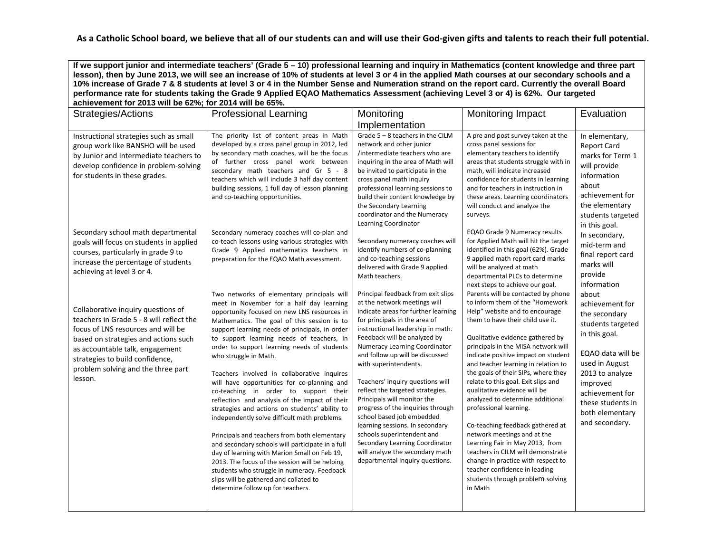If we support junior and intermediate teachers' (Grade 5 – 10) professional learning and inquiry in Mathematics (content knowledge and three part **lesson), then by June 2013, we will see an increase of 10% of students at level 3 or 4 in the applied Math courses at our secondary schools and a 10% increase of Grade 7 & 8 students at level 3 or 4 in the Number Sense and Numeration strand on the report card. Currently the overall Board performance rate for students taking the Grade 9 Applied EQAO Mathematics Assessment (achieving Level 3 or 4) is 62%. Our targeted achievement for 2013 will be 62%; for 2014 will be 65%.**

| $\alpha$ and $\alpha$ is the set of $\alpha$ is the set of $\alpha$ is the set of $\alpha$ is the set of $\alpha$ is the set of $\alpha$ is the set of $\alpha$ is the set of $\alpha$ is the set of $\alpha$ is the set of $\alpha$ is the set of $\alpha$ is the set of $\alpha$  |                                                                                                                                                                                                                                                                                                                                                                                                                                                                                                                                                                                                                                                                                                                                                                                                                                                                                                                                                                                            |                                                                                                                                                                                                                                                                                                                                                                                                                                                                                                                                                                                                                                                                |                                                                                                                                                                                                                                                                                                                                                                                                                                                                                                                                                                                                                                                                                                                                                   |                                                                                                                                                                                                                                                                                                                                                                                                                                                                                                                 |
|-------------------------------------------------------------------------------------------------------------------------------------------------------------------------------------------------------------------------------------------------------------------------------------|--------------------------------------------------------------------------------------------------------------------------------------------------------------------------------------------------------------------------------------------------------------------------------------------------------------------------------------------------------------------------------------------------------------------------------------------------------------------------------------------------------------------------------------------------------------------------------------------------------------------------------------------------------------------------------------------------------------------------------------------------------------------------------------------------------------------------------------------------------------------------------------------------------------------------------------------------------------------------------------------|----------------------------------------------------------------------------------------------------------------------------------------------------------------------------------------------------------------------------------------------------------------------------------------------------------------------------------------------------------------------------------------------------------------------------------------------------------------------------------------------------------------------------------------------------------------------------------------------------------------------------------------------------------------|---------------------------------------------------------------------------------------------------------------------------------------------------------------------------------------------------------------------------------------------------------------------------------------------------------------------------------------------------------------------------------------------------------------------------------------------------------------------------------------------------------------------------------------------------------------------------------------------------------------------------------------------------------------------------------------------------------------------------------------------------|-----------------------------------------------------------------------------------------------------------------------------------------------------------------------------------------------------------------------------------------------------------------------------------------------------------------------------------------------------------------------------------------------------------------------------------------------------------------------------------------------------------------|
| Strategies/Actions                                                                                                                                                                                                                                                                  | <b>Professional Learning</b>                                                                                                                                                                                                                                                                                                                                                                                                                                                                                                                                                                                                                                                                                                                                                                                                                                                                                                                                                               | Monitoring                                                                                                                                                                                                                                                                                                                                                                                                                                                                                                                                                                                                                                                     | <b>Monitoring Impact</b>                                                                                                                                                                                                                                                                                                                                                                                                                                                                                                                                                                                                                                                                                                                          | Evaluation                                                                                                                                                                                                                                                                                                                                                                                                                                                                                                      |
|                                                                                                                                                                                                                                                                                     |                                                                                                                                                                                                                                                                                                                                                                                                                                                                                                                                                                                                                                                                                                                                                                                                                                                                                                                                                                                            | Implementation                                                                                                                                                                                                                                                                                                                                                                                                                                                                                                                                                                                                                                                 |                                                                                                                                                                                                                                                                                                                                                                                                                                                                                                                                                                                                                                                                                                                                                   |                                                                                                                                                                                                                                                                                                                                                                                                                                                                                                                 |
| Instructional strategies such as small<br>group work like BANSHO will be used<br>by Junior and Intermediate teachers to<br>develop confidence in problem-solving<br>for students in these grades.                                                                                   | The priority list of content areas in Math<br>developed by a cross panel group in 2012, led<br>by secondary math coaches, will be the focus<br>of further cross panel work between<br>secondary math teachers and Gr 5 - 8<br>teachers which will include 3 half day content<br>building sessions, 1 full day of lesson planning<br>and co-teaching opportunities.                                                                                                                                                                                                                                                                                                                                                                                                                                                                                                                                                                                                                         | Grade 5 - 8 teachers in the CILM<br>network and other junior<br>/intermediate teachers who are<br>inguiring in the area of Math will<br>be invited to participate in the<br>cross panel math inquiry<br>professional learning sessions to<br>build their content knowledge by<br>the Secondary Learning<br>coordinator and the Numeracy                                                                                                                                                                                                                                                                                                                        | A pre and post survey taken at the<br>cross panel sessions for<br>elementary teachers to identify<br>areas that students struggle with in<br>math, will indicate increased<br>confidence for students in learning<br>and for teachers in instruction in<br>these areas. Learning coordinators<br>will conduct and analyze the<br>surveys.                                                                                                                                                                                                                                                                                                                                                                                                         | In elementary,<br><b>Report Card</b><br>marks for Term 1<br>will provide<br>information<br>about<br>achievement for<br>the elementary<br>students targeted<br>in this goal.<br>In secondary,<br>mid-term and<br>final report card<br>marks will<br>provide<br>information<br>about<br>achievement for<br>the secondary<br>students targeted<br>in this goal.<br>EQAO data will be<br>used in August<br>2013 to analyze<br>improved<br>achievement for<br>these students in<br>both elementary<br>and secondary. |
| Secondary school math departmental<br>goals will focus on students in applied<br>courses, particularly in grade 9 to<br>increase the percentage of students<br>achieving at level 3 or 4.                                                                                           | Secondary numeracy coaches will co-plan and<br>co-teach lessons using various strategies with<br>Grade 9 Applied mathematics teachers in<br>preparation for the EQAO Math assessment.                                                                                                                                                                                                                                                                                                                                                                                                                                                                                                                                                                                                                                                                                                                                                                                                      | Learning Coordinator<br>Secondary numeracy coaches will<br>identify numbers of co-planning<br>and co-teaching sessions<br>delivered with Grade 9 applied<br>Math teachers.                                                                                                                                                                                                                                                                                                                                                                                                                                                                                     | EQAO Grade 9 Numeracy results<br>for Applied Math will hit the target<br>identified in this goal (62%). Grade<br>9 applied math report card marks<br>will be analyzed at math<br>departmental PLCs to determine<br>next steps to achieve our goal.                                                                                                                                                                                                                                                                                                                                                                                                                                                                                                |                                                                                                                                                                                                                                                                                                                                                                                                                                                                                                                 |
| Collaborative inquiry questions of<br>teachers in Grade 5 - 8 will reflect the<br>focus of LNS resources and will be<br>based on strategies and actions such<br>as accountable talk, engagement<br>strategies to build confidence,<br>problem solving and the three part<br>lesson. | Two networks of elementary principals will<br>meet in November for a half day learning<br>opportunity focused on new LNS resources in<br>Mathematics. The goal of this session is to<br>support learning needs of principals, in order<br>to support learning needs of teachers, in<br>order to support learning needs of students<br>who struggle in Math.<br>Teachers involved in collaborative inquires<br>will have opportunities for co-planning and<br>co-teaching in order to support their<br>reflection and analysis of the impact of their<br>strategies and actions on students' ability to<br>independently solve difficult math problems.<br>Principals and teachers from both elementary<br>and secondary schools will participate in a full<br>day of learning with Marion Small on Feb 19,<br>2013. The focus of the session will be helping<br>students who struggle in numeracy. Feedback<br>slips will be gathered and collated to<br>determine follow up for teachers. | Principal feedback from exit slips<br>at the network meetings will<br>indicate areas for further learning<br>for principals in the area of<br>instructional leadership in math.<br>Feedback will be analyzed by<br>Numeracy Learning Coordinator<br>and follow up will be discussed<br>with superintendents.<br>Teachers' inquiry questions will<br>reflect the targeted strategies.<br>Principals will monitor the<br>progress of the inquiries through<br>school based job embedded<br>learning sessions. In secondary<br>schools superintendent and<br>Secondary Learning Coordinator<br>will analyze the secondary math<br>departmental inquiry questions. | Parents will be contacted by phone<br>to inform them of the "Homework<br>Help" website and to encourage<br>them to have their child use it.<br>Qualitative evidence gathered by<br>principals in the MISA network will<br>indicate positive impact on student<br>and teacher learning in relation to<br>the goals of their SIPs, where they<br>relate to this goal. Exit slips and<br>qualitative evidence will be<br>analyzed to determine additional<br>professional learning.<br>Co-teaching feedback gathered at<br>network meetings and at the<br>Learning Fair in May 2013, from<br>teachers in CILM will demonstrate<br>change in practice with respect to<br>teacher confidence in leading<br>students through problem solving<br>in Math |                                                                                                                                                                                                                                                                                                                                                                                                                                                                                                                 |